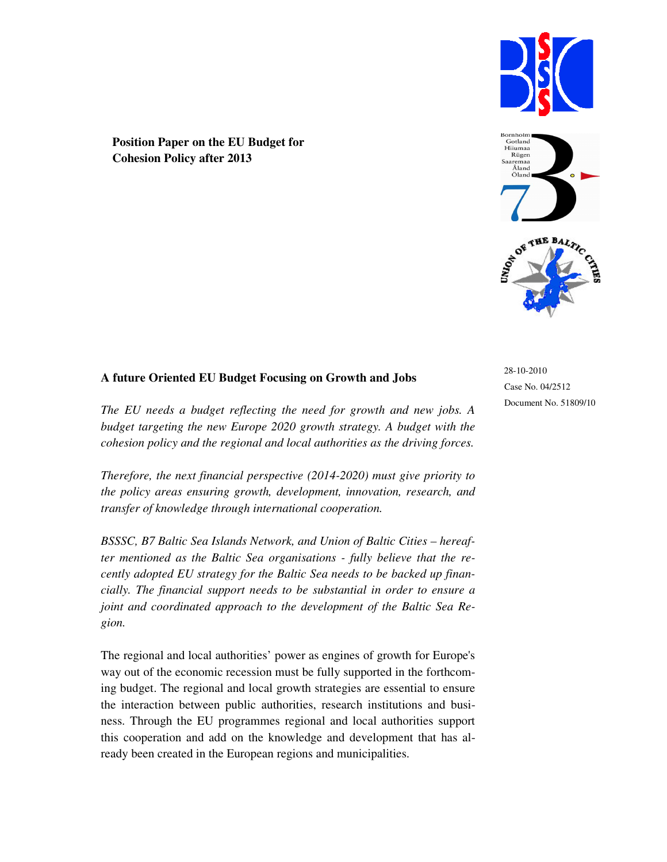



**Position Paper on the EU Budget for Cohesion Policy after 2013** 

# **A future Oriented EU Budget Focusing on Growth and Jobs**

*The EU needs a budget reflecting the need for growth and new jobs. A budget targeting the new Europe 2020 growth strategy. A budget with the cohesion policy and the regional and local authorities as the driving forces.* 

*Therefore, the next financial perspective (2014-2020) must give priority to the policy areas ensuring growth, development, innovation, research, and transfer of knowledge through international cooperation.*

*BSSSC, B7 Baltic Sea Islands Network, and Union of Baltic Cities – hereafter mentioned as the Baltic Sea organisations - fully believe that the recently adopted EU strategy for the Baltic Sea needs to be backed up financially. The financial support needs to be substantial in order to ensure a joint and coordinated approach to the development of the Baltic Sea Region.* 

The regional and local authorities' power as engines of growth for Europe's way out of the economic recession must be fully supported in the forthcoming budget. The regional and local growth strategies are essential to ensure the interaction between public authorities, research institutions and business. Through the EU programmes regional and local authorities support this cooperation and add on the knowledge and development that has already been created in the European regions and municipalities.

28-10-2010 Case No. 04/2512 Document No. 51809/10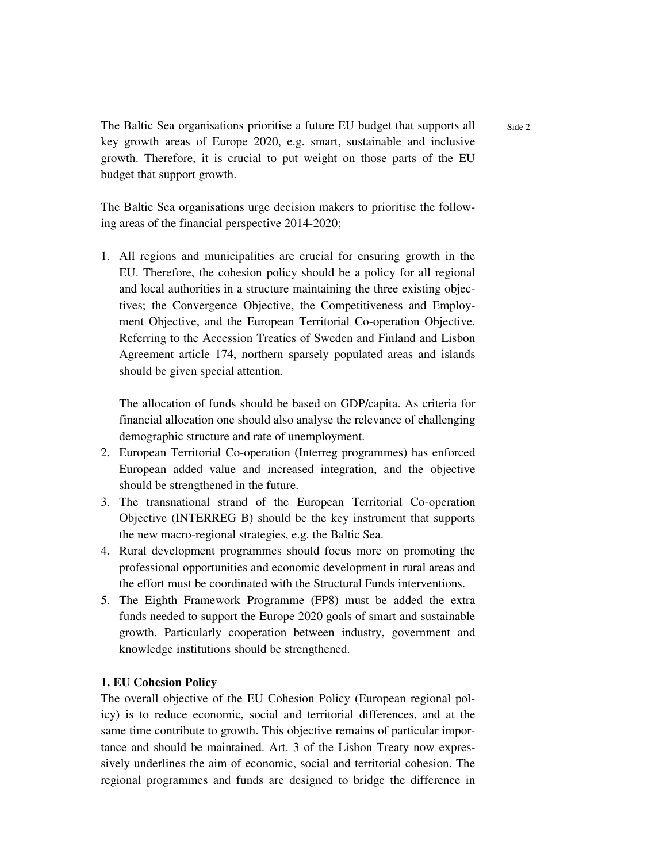The Baltic Sea organisations prioritise a future EU budget that supports all key growth areas of Europe 2020, e.g. smart, sustainable and inclusive growth. Therefore, it is crucial to put weight on those parts of the EU budget that support growth.

The Baltic Sea organisations urge decision makers to prioritise the following areas of the financial perspective 2014-2020;

1. All regions and municipalities are crucial for ensuring growth in the EU. Therefore, the cohesion policy should be a policy for all regional and local authorities in a structure maintaining the three existing objectives; the Convergence Objective, the Competitiveness and Employment Objective, and the European Territorial Co-operation Objective. Referring to the Accession Treaties of Sweden and Finland and Lisbon Agreement article 174, northern sparsely populated areas and islands should be given special attention.

The allocation of funds should be based on GDP/capita. As criteria for financial allocation one should also analyse the relevance of challenging demographic structure and rate of unemployment.

- 2. European Territorial Co-operation (Interreg programmes) has enforced European added value and increased integration, and the objective should be strengthened in the future.
- 3. The transnational strand of the European Territorial Co-operation Objective (INTERREG B) should be the key instrument that supports the new macro-regional strategies, e.g. the Baltic Sea.
- 4. Rural development programmes should focus more on promoting the professional opportunities and economic development in rural areas and the effort must be coordinated with the Structural Funds interventions.
- 5. The Eighth Framework Programme (FP8) must be added the extra funds needed to support the Europe 2020 goals of smart and sustainable growth. Particularly cooperation between industry, government and knowledge institutions should be strengthened.

# **1. EU Cohesion Policy**

The overall objective of the EU Cohesion Policy (European regional policy) is to reduce economic, social and territorial differences, and at the same time contribute to growth. This objective remains of particular importance and should be maintained. Art. 3 of the Lisbon Treaty now expressively underlines the aim of economic, social and territorial cohesion. The regional programmes and funds are designed to bridge the difference in Side 2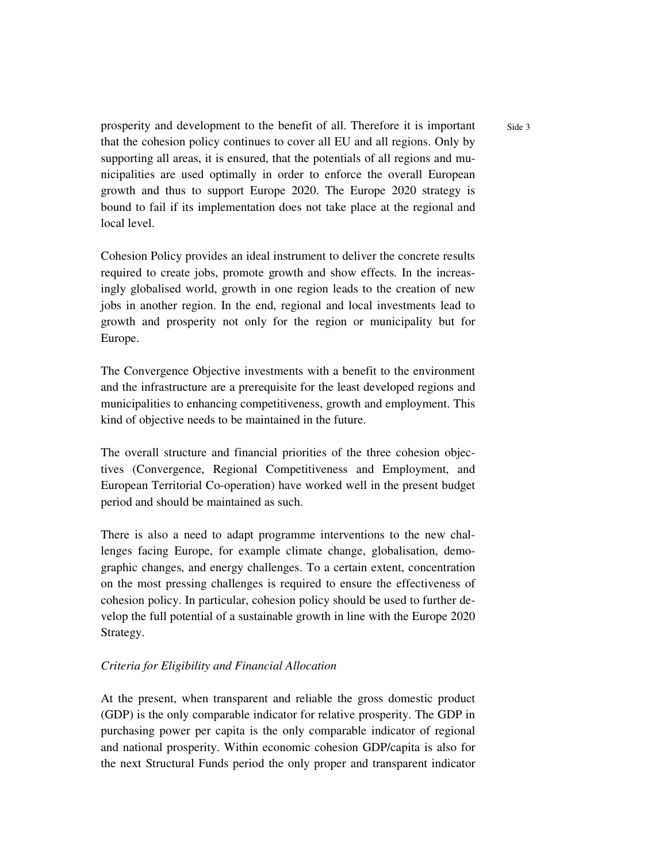prosperity and development to the benefit of all. Therefore it is important that the cohesion policy continues to cover all EU and all regions. Only by supporting all areas, it is ensured, that the potentials of all regions and municipalities are used optimally in order to enforce the overall European growth and thus to support Europe 2020. The Europe 2020 strategy is bound to fail if its implementation does not take place at the regional and local level.

Cohesion Policy provides an ideal instrument to deliver the concrete results required to create jobs, promote growth and show effects. In the increasingly globalised world, growth in one region leads to the creation of new jobs in another region. In the end, regional and local investments lead to growth and prosperity not only for the region or municipality but for Europe.

The Convergence Objective investments with a benefit to the environment and the infrastructure are a prerequisite for the least developed regions and municipalities to enhancing competitiveness, growth and employment. This kind of objective needs to be maintained in the future.

The overall structure and financial priorities of the three cohesion objectives (Convergence, Regional Competitiveness and Employment, and European Territorial Co-operation) have worked well in the present budget period and should be maintained as such.

There is also a need to adapt programme interventions to the new challenges facing Europe, for example climate change, globalisation, demographic changes, and energy challenges. To a certain extent, concentration on the most pressing challenges is required to ensure the effectiveness of cohesion policy. In particular, cohesion policy should be used to further develop the full potential of a sustainable growth in line with the Europe 2020 Strategy.

### *Criteria for Eligibility and Financial Allocation*

At the present, when transparent and reliable the gross domestic product (GDP) is the only comparable indicator for relative prosperity. The GDP in purchasing power per capita is the only comparable indicator of regional and national prosperity. Within economic cohesion GDP/capita is also for the next Structural Funds period the only proper and transparent indicator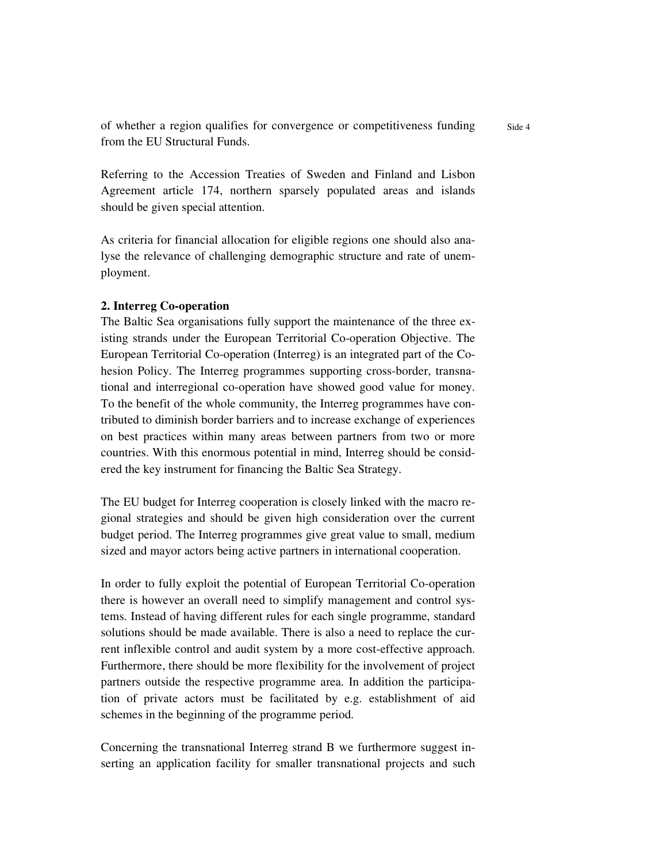of whether a region qualifies for convergence or competitiveness funding from the EU Structural Funds.

Referring to the Accession Treaties of Sweden and Finland and Lisbon Agreement article 174, northern sparsely populated areas and islands should be given special attention.

As criteria for financial allocation for eligible regions one should also analyse the relevance of challenging demographic structure and rate of unemployment.

# **2. Interreg Co-operation**

The Baltic Sea organisations fully support the maintenance of the three existing strands under the European Territorial Co-operation Objective. The European Territorial Co-operation (Interreg) is an integrated part of the Cohesion Policy. The Interreg programmes supporting cross-border, transnational and interregional co-operation have showed good value for money. To the benefit of the whole community, the Interreg programmes have contributed to diminish border barriers and to increase exchange of experiences on best practices within many areas between partners from two or more countries. With this enormous potential in mind, Interreg should be considered the key instrument for financing the Baltic Sea Strategy.

The EU budget for Interreg cooperation is closely linked with the macro regional strategies and should be given high consideration over the current budget period. The Interreg programmes give great value to small, medium sized and mayor actors being active partners in international cooperation.

In order to fully exploit the potential of European Territorial Co-operation there is however an overall need to simplify management and control systems. Instead of having different rules for each single programme, standard solutions should be made available. There is also a need to replace the current inflexible control and audit system by a more cost-effective approach. Furthermore, there should be more flexibility for the involvement of project partners outside the respective programme area. In addition the participation of private actors must be facilitated by e.g. establishment of aid schemes in the beginning of the programme period.

Concerning the transnational Interreg strand B we furthermore suggest inserting an application facility for smaller transnational projects and such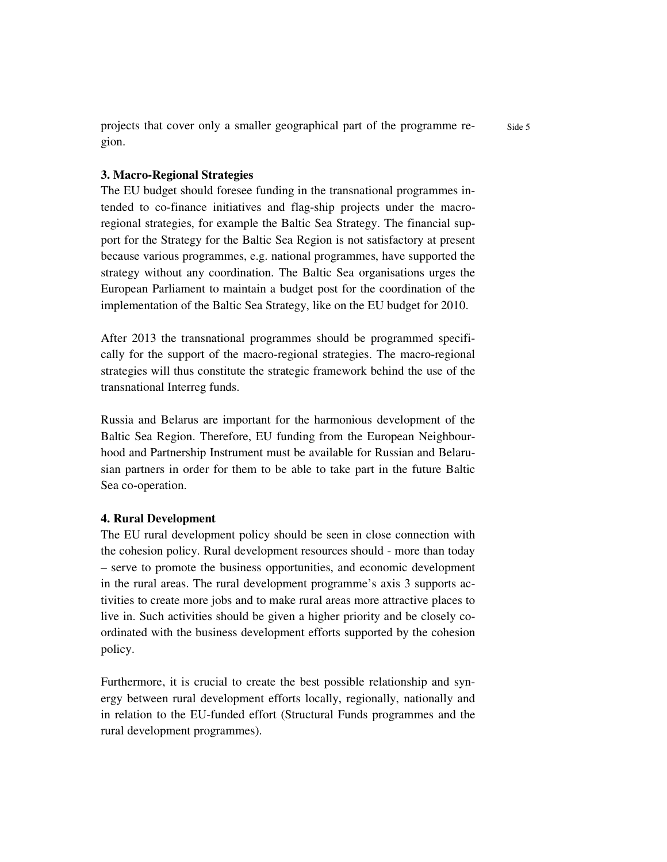projects that cover only a smaller geographical part of the programme region.

### **3. Macro-Regional Strategies**

The EU budget should foresee funding in the transnational programmes intended to co-finance initiatives and flag-ship projects under the macroregional strategies, for example the Baltic Sea Strategy. The financial support for the Strategy for the Baltic Sea Region is not satisfactory at present because various programmes, e.g. national programmes, have supported the strategy without any coordination. The Baltic Sea organisations urges the European Parliament to maintain a budget post for the coordination of the implementation of the Baltic Sea Strategy, like on the EU budget for 2010.

After 2013 the transnational programmes should be programmed specifically for the support of the macro-regional strategies. The macro-regional strategies will thus constitute the strategic framework behind the use of the transnational Interreg funds.

Russia and Belarus are important for the harmonious development of the Baltic Sea Region. Therefore, EU funding from the European Neighbourhood and Partnership Instrument must be available for Russian and Belarusian partners in order for them to be able to take part in the future Baltic Sea co-operation.

### **4. Rural Development**

The EU rural development policy should be seen in close connection with the cohesion policy. Rural development resources should - more than today – serve to promote the business opportunities, and economic development in the rural areas. The rural development programme's axis 3 supports activities to create more jobs and to make rural areas more attractive places to live in. Such activities should be given a higher priority and be closely coordinated with the business development efforts supported by the cohesion policy.

Furthermore, it is crucial to create the best possible relationship and synergy between rural development efforts locally, regionally, nationally and in relation to the EU-funded effort (Structural Funds programmes and the rural development programmes).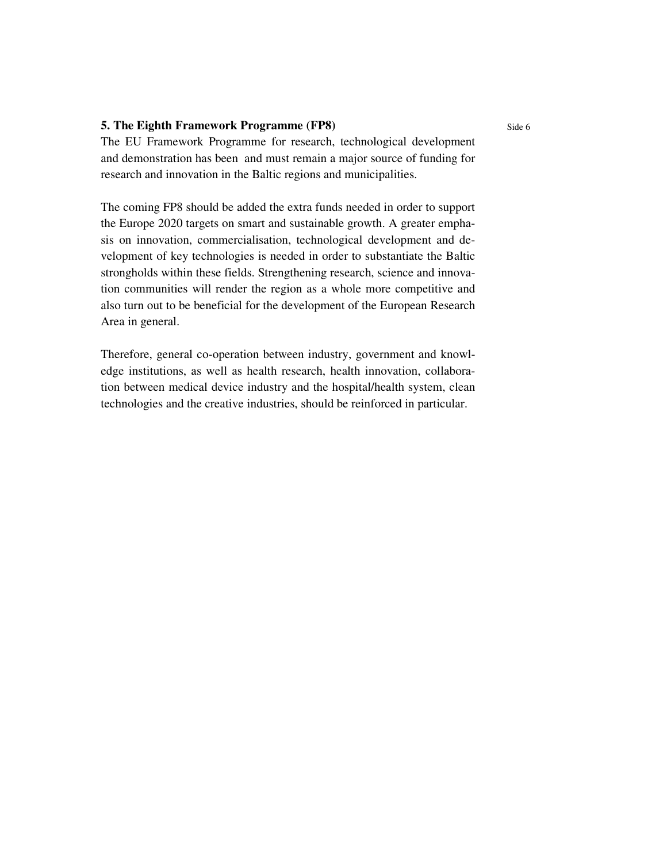# **5. The Eighth Framework Programme (FP8)**

The EU Framework Programme for research, technological development and demonstration has been and must remain a major source of funding for research and innovation in the Baltic regions and municipalities.

The coming FP8 should be added the extra funds needed in order to support the Europe 2020 targets on smart and sustainable growth. A greater emphasis on innovation, commercialisation, technological development and development of key technologies is needed in order to substantiate the Baltic strongholds within these fields. Strengthening research, science and innovation communities will render the region as a whole more competitive and also turn out to be beneficial for the development of the European Research Area in general.

Therefore, general co-operation between industry, government and knowledge institutions, as well as health research, health innovation, collaboration between medical device industry and the hospital/health system, clean technologies and the creative industries, should be reinforced in particular.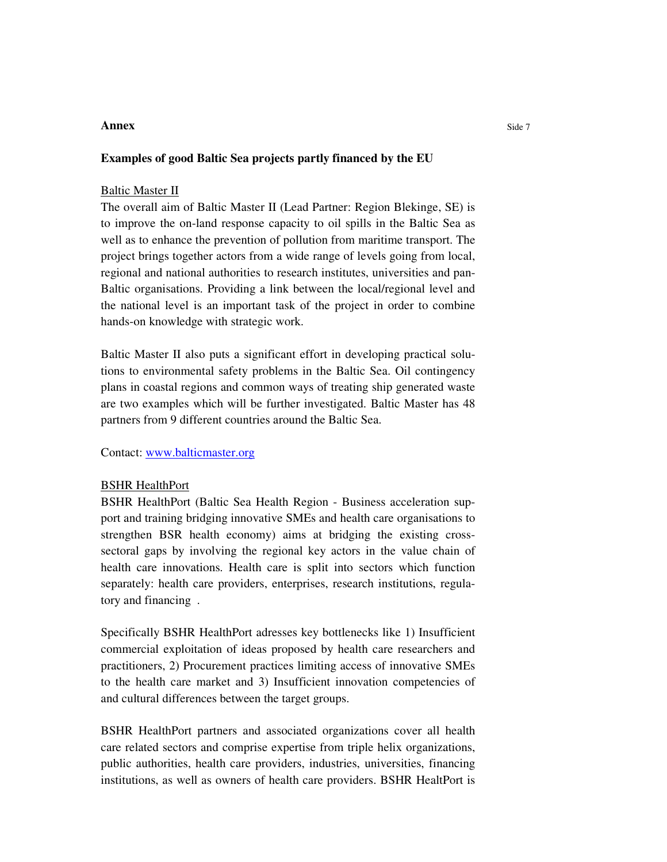### **Annex**

#### **Examples of good Baltic Sea projects partly financed by the EU**

#### **Baltic Master II**

The overall aim of Baltic Master II (Lead Partner: Region Blekinge, SE) is to improve the on-land response capacity to oil spills in the Baltic Sea as well as to enhance the prevention of pollution from maritime transport. The project brings together actors from a wide range of levels going from local, regional and national authorities to research institutes, universities and pan-Baltic organisations. Providing a link between the local/regional level and the national level is an important task of the project in order to combine hands-on knowledge with strategic work.

Baltic Master II also puts a significant effort in developing practical solutions to environmental safety problems in the Baltic Sea. Oil contingency plans in coastal regions and common ways of treating ship generated waste are two examples which will be further investigated. Baltic Master has 48 partners from 9 different countries around the Baltic Sea.

Contact: www.balticmaster.org

#### BSHR HealthPort

BSHR HealthPort (Baltic Sea Health Region - Business acceleration support and training bridging innovative SMEs and health care organisations to strengthen BSR health economy) aims at bridging the existing crosssectoral gaps by involving the regional key actors in the value chain of health care innovations. Health care is split into sectors which function separately: health care providers, enterprises, research institutions, regulatory and financing .

Specifically BSHR HealthPort adresses key bottlenecks like 1) Insufficient commercial exploitation of ideas proposed by health care researchers and practitioners, 2) Procurement practices limiting access of innovative SMEs to the health care market and 3) Insufficient innovation competencies of and cultural differences between the target groups.

BSHR HealthPort partners and associated organizations cover all health care related sectors and comprise expertise from triple helix organizations, public authorities, health care providers, industries, universities, financing institutions, as well as owners of health care providers. BSHR HealtPort is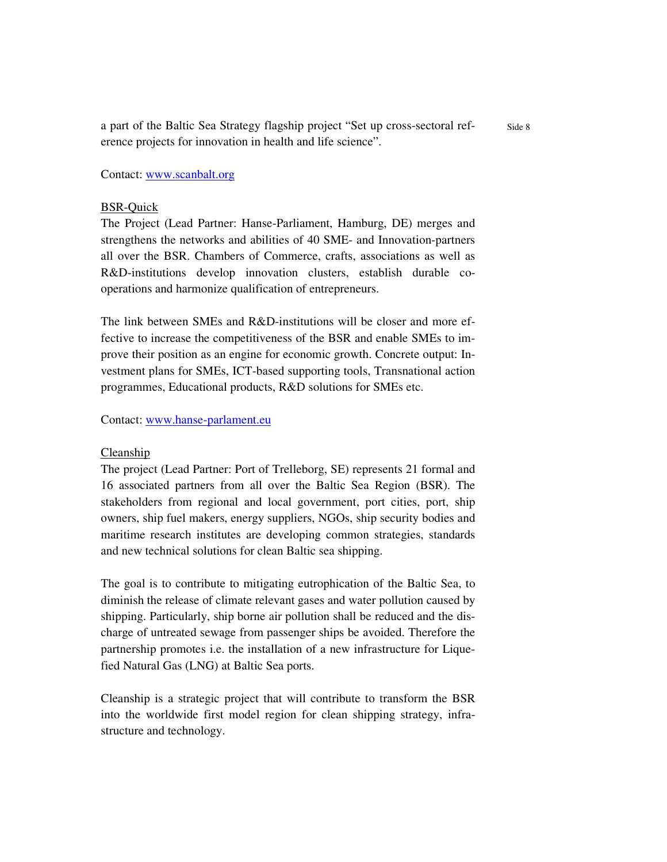Side 8 a part of the Baltic Sea Strategy flagship project "Set up cross-sectoral reference projects for innovation in health and life science".

Contact: www.scanbalt.org

#### BSR-Quick

The Project (Lead Partner: Hanse-Parliament, Hamburg, DE) merges and strengthens the networks and abilities of 40 SME- and Innovation-partners all over the BSR. Chambers of Commerce, crafts, associations as well as R&D-institutions develop innovation clusters, establish durable cooperations and harmonize qualification of entrepreneurs.

The link between SMEs and R&D-institutions will be closer and more effective to increase the competitiveness of the BSR and enable SMEs to improve their position as an engine for economic growth. Concrete output: Investment plans for SMEs, ICT-based supporting tools, Transnational action programmes, Educational products, R&D solutions for SMEs etc.

Contact: www.hanse-parlament.eu

#### Cleanship

The project (Lead Partner: Port of Trelleborg, SE) represents 21 formal and 16 associated partners from all over the Baltic Sea Region (BSR). The stakeholders from regional and local government, port cities, port, ship owners, ship fuel makers, energy suppliers, NGOs, ship security bodies and maritime research institutes are developing common strategies, standards and new technical solutions for clean Baltic sea shipping.

The goal is to contribute to mitigating eutrophication of the Baltic Sea, to diminish the release of climate relevant gases and water pollution caused by shipping. Particularly, ship borne air pollution shall be reduced and the discharge of untreated sewage from passenger ships be avoided. Therefore the partnership promotes i.e. the installation of a new infrastructure for Liquefied Natural Gas (LNG) at Baltic Sea ports.

Cleanship is a strategic project that will contribute to transform the BSR into the worldwide first model region for clean shipping strategy, infrastructure and technology.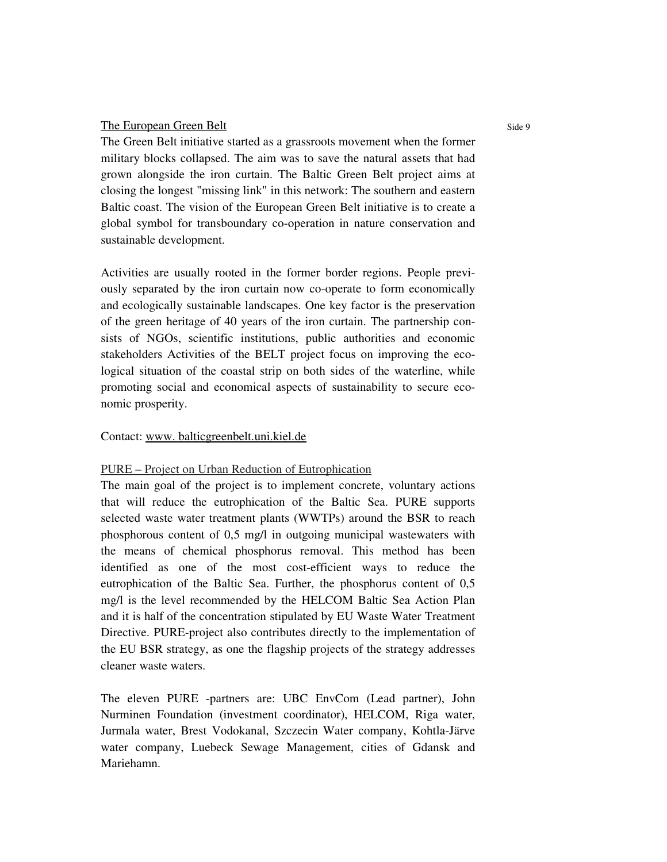### The European Green Belt

The Green Belt initiative started as a grassroots movement when the former military blocks collapsed. The aim was to save the natural assets that had grown alongside the iron curtain. The Baltic Green Belt project aims at closing the longest "missing link" in this network: The southern and eastern Baltic coast. The vision of the European Green Belt initiative is to create a global symbol for transboundary co-operation in nature conservation and sustainable development.

Activities are usually rooted in the former border regions. People previously separated by the iron curtain now co-operate to form economically and ecologically sustainable landscapes. One key factor is the preservation of the green heritage of 40 years of the iron curtain. The partnership consists of NGOs, scientific institutions, public authorities and economic stakeholders Activities of the BELT project focus on improving the ecological situation of the coastal strip on both sides of the waterline, while promoting social and economical aspects of sustainability to secure economic prosperity.

### Contact: www. balticgreenbelt.uni.kiel.de

# PURE – Project on Urban Reduction of Eutrophication

The main goal of the project is to implement concrete, voluntary actions that will reduce the eutrophication of the Baltic Sea. PURE supports selected waste water treatment plants (WWTPs) around the BSR to reach phosphorous content of 0,5 mg/l in outgoing municipal wastewaters with the means of chemical phosphorus removal. This method has been identified as one of the most cost-efficient ways to reduce the eutrophication of the Baltic Sea. Further, the phosphorus content of 0,5 mg/l is the level recommended by the HELCOM Baltic Sea Action Plan and it is half of the concentration stipulated by EU Waste Water Treatment Directive. PURE-project also contributes directly to the implementation of the EU BSR strategy, as one the flagship projects of the strategy addresses cleaner waste waters.

The eleven PURE -partners are: UBC EnvCom (Lead partner), John Nurminen Foundation (investment coordinator), HELCOM, Riga water, Jurmala water, Brest Vodokanal, Szczecin Water company, Kohtla-Järve water company, Luebeck Sewage Management, cities of Gdansk and Mariehamn.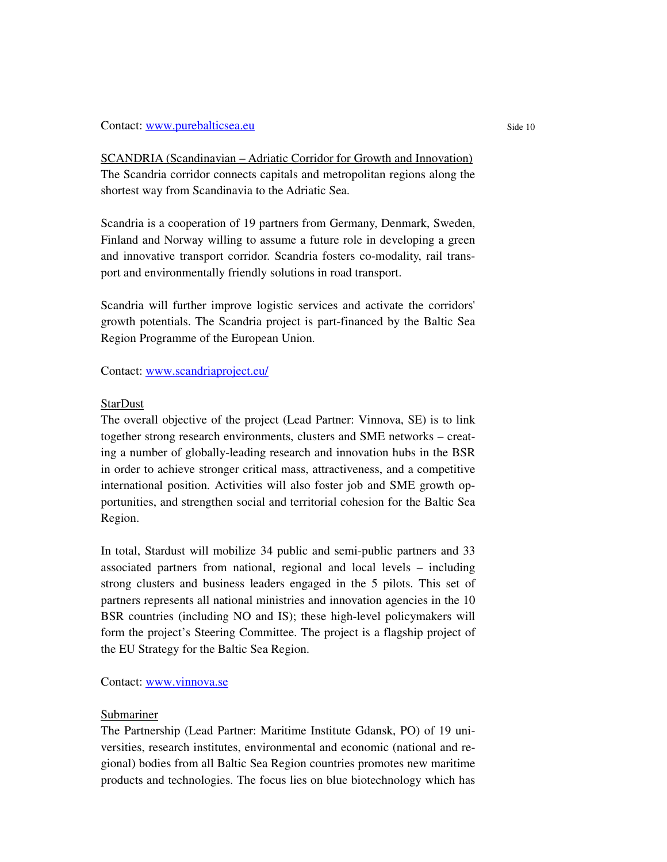#### Contact: www.purebalticsea.eu

SCANDRIA (Scandinavian – Adriatic Corridor for Growth and Innovation) The Scandria corridor connects capitals and metropolitan regions along the shortest way from Scandinavia to the Adriatic Sea.

Scandria is a cooperation of 19 partners from Germany, Denmark, Sweden, Finland and Norway willing to assume a future role in developing a green and innovative transport corridor. Scandria fosters co-modality, rail transport and environmentally friendly solutions in road transport.

Scandria will further improve logistic services and activate the corridors' growth potentials. The Scandria project is part-financed by the Baltic Sea Region Programme of the European Union.

Contact: www.scandriaproject.eu/

## StarDust

The overall objective of the project (Lead Partner: Vinnova, SE) is to link together strong research environments, clusters and SME networks – creating a number of globally-leading research and innovation hubs in the BSR in order to achieve stronger critical mass, attractiveness, and a competitive international position. Activities will also foster job and SME growth opportunities, and strengthen social and territorial cohesion for the Baltic Sea Region.

In total, Stardust will mobilize 34 public and semi-public partners and 33 associated partners from national, regional and local levels – including strong clusters and business leaders engaged in the 5 pilots. This set of partners represents all national ministries and innovation agencies in the 10 BSR countries (including NO and IS); these high-level policymakers will form the project's Steering Committee. The project is a flagship project of the EU Strategy for the Baltic Sea Region.

# Contact: www.vinnova.se

### Submariner

The Partnership (Lead Partner: Maritime Institute Gdansk, PO) of 19 universities, research institutes, environmental and economic (national and regional) bodies from all Baltic Sea Region countries promotes new maritime products and technologies. The focus lies on blue biotechnology which has